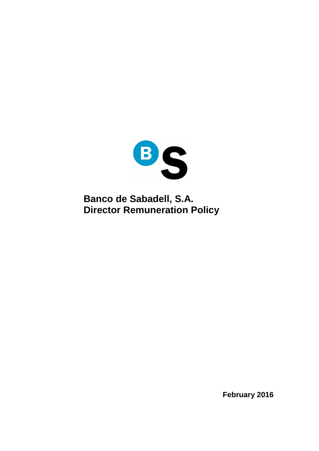

**Banco de Sabadell, S.A. Director Remuneration Policy** 

**February 2016**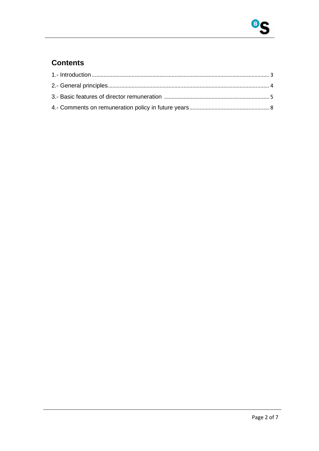

#### **Contents**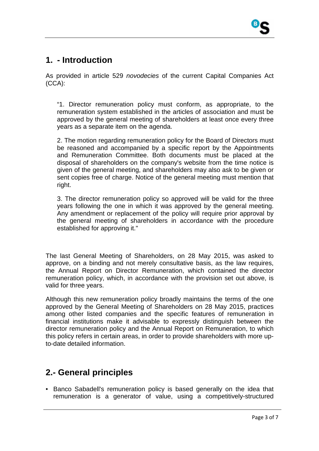# **1. - Introduction**

As provided in article 529 novodecies of the current Capital Companies Act (CCA):

"1. Director remuneration policy must conform, as appropriate, to the remuneration system established in the articles of association and must be approved by the general meeting of shareholders at least once every three years as a separate item on the agenda.

2. The motion regarding remuneration policy for the Board of Directors must be reasoned and accompanied by a specific report by the Appointments and Remuneration Committee. Both documents must be placed at the disposal of shareholders on the company's website from the time notice is given of the general meeting, and shareholders may also ask to be given or sent copies free of charge. Notice of the general meeting must mention that right.

3. The director remuneration policy so approved will be valid for the three years following the one in which it was approved by the general meeting. Any amendment or replacement of the policy will require prior approval by the general meeting of shareholders in accordance with the procedure established for approving it."

The last General Meeting of Shareholders, on 28 May 2015, was asked to approve, on a binding and not merely consultative basis, as the law requires, the Annual Report on Director Remuneration, which contained the director remuneration policy, which, in accordance with the provision set out above, is valid for three years.

Although this new remuneration policy broadly maintains the terms of the one approved by the General Meeting of Shareholders on 28 May 2015, practices among other listed companies and the specific features of remuneration in financial institutions make it advisable to expressly distinguish between the director remuneration policy and the Annual Report on Remuneration, to which this policy refers in certain areas, in order to provide shareholders with more upto-date detailed information.

# **2.- General principles**

• Banco Sabadell's remuneration policy is based generally on the idea that remuneration is a generator of value, using a competitively-structured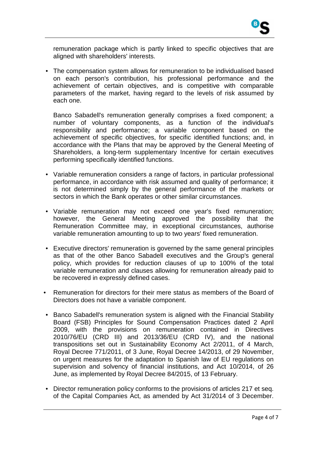

remuneration package which is partly linked to specific objectives that are aligned with shareholders' interests.

• The compensation system allows for remuneration to be individualised based on each person's contribution, his professional performance and the achievement of certain objectives, and is competitive with comparable parameters of the market, having regard to the levels of risk assumed by each one.

Banco Sabadell's remuneration generally comprises a fixed component; a number of voluntary components, as a function of the individual's responsibility and performance; a variable component based on the achievement of specific objectives, for specific identified functions; and, in accordance with the Plans that may be approved by the General Meeting of Shareholders, a long-term supplementary Incentive for certain executives performing specifically identified functions.

- Variable remuneration considers a range of factors, in particular professional performance, in accordance with risk assumed and quality of performance; it is not determined simply by the general performance of the markets or sectors in which the Bank operates or other similar circumstances.
- Variable remuneration may not exceed one year's fixed remuneration; however, the General Meeting approved the possibility that the Remuneration Committee may, in exceptional circumstances, authorise variable remuneration amounting to up to two years' fixed remuneration.
- Executive directors' remuneration is governed by the same general principles as that of the other Banco Sabadell executives and the Group's general policy, which provides for reduction clauses of up to 100% of the total variable remuneration and clauses allowing for remuneration already paid to be recovered in expressly defined cases.
- Remuneration for directors for their mere status as members of the Board of Directors does not have a variable component.
- Banco Sabadell's remuneration system is aligned with the Financial Stability Board (FSB) Principles for Sound Compensation Practices dated 2 April 2009, with the provisions on remuneration contained in Directives 2010/76/EU (CRD III) and 2013/36/EU (CRD IV), and the national transpositions set out in Sustainability Economy Act 2/2011, of 4 March, Royal Decree 771/2011, of 3 June, Royal Decree 14/2013, of 29 November, on urgent measures for the adaptation to Spanish law of EU regulations on supervision and solvency of financial institutions, and Act 10/2014, of 26 June, as implemented by Royal Decree 84/2015, of 13 February.
- Director remuneration policy conforms to the provisions of articles 217 et seq. of the Capital Companies Act, as amended by Act 31/2014 of 3 December.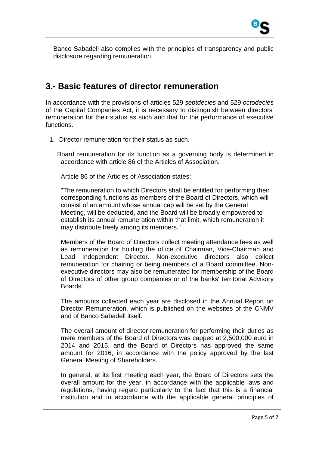Banco Sabadell also complies with the principles of transparency and public disclosure regarding remuneration.

### **3.- Basic features of director remuneration**

In accordance with the provisions of articles 529 septdecies and 529 octodecies of the Capital Companies Act, it is necessary to distinguish between directors' remuneration for their status as such and that for the performance of executive functions.

1. Director remuneration for their status as such.

Board remuneration for its function as a governing body is determined in accordance with article 86 of the Articles of Association.

Article 86 of the Articles of Association states:

"The remuneration to which Directors shall be entitled for performing their corresponding functions as members of the Board of Directors, which will consist of an amount whose annual cap will be set by the General Meeting, will be deducted, and the Board will be broadly empowered to establish its annual remuneration within that limit, which remuneration it may distribute freely among its members."

Members of the Board of Directors collect meeting attendance fees as well as remuneration for holding the office of Chairman, Vice-Chairman and Lead Independent Director. Non-executive directors also collect remuneration for chairing or being members of a Board committee. Nonexecutive directors may also be remunerated for membership of the Board of Directors of other group companies or of the banks' territorial Advisory Boards.

The amounts collected each year are disclosed in the Annual Report on Director Remuneration, which is published on the websites of the CNMV and of Banco Sabadell itself.

The overall amount of director remuneration for performing their duties as mere members of the Board of Directors was capped at 2,500,000 euro in 2014 and 2015, and the Board of Directors has approved the same amount for 2016, in accordance with the policy approved by the last General Meeting of Shareholders.

In general, at its first meeting each year, the Board of Directors sets the overall amount for the year, in accordance with the applicable laws and regulations, having regard particularly to the fact that this is a financial institution and in accordance with the applicable general principles of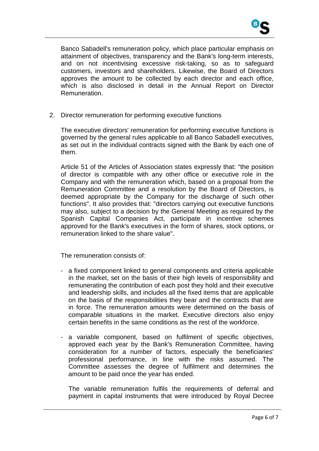

Banco Sabadell's remuneration policy, which place particular emphasis on attainment of objectives, transparency and the Bank's long-term interests, and on not incentivising excessive risk-taking, so as to safeguard customers, investors and shareholders. Likewise, the Board of Directors approves the amount to be collected by each director and each office, which is also disclosed in detail in the Annual Report on Director Remuneration.

2. Director remuneration for performing executive functions

The executive directors' remuneration for performing executive functions is governed by the general rules applicable to all Banco Sabadell executives, as set out in the individual contracts signed with the Bank by each one of them.

Article 51 of the Articles of Association states expressly that: "the position of director is compatible with any other office or executive role in the Company and with the remuneration which, based on a proposal from the Remuneration Committee and a resolution by the Board of Directors, is deemed appropriate by the Company for the discharge of such other functions". It also provides that: "directors carrying out executive functions may also, subject to a decision by the General Meeting as required by the Spanish Capital Companies Act, participate in incentive schemes approved for the Bank's executives in the form of shares, stock options, or remuneration linked to the share value".

The remuneration consists of:

- a fixed component linked to general components and criteria applicable in the market, set on the basis of their high levels of responsibility and remunerating the contribution of each post they hold and their executive and leadership skills, and includes all the fixed items that are applicable on the basis of the responsibilities they bear and the contracts that are in force. The remuneration amounts were determined on the basis of comparable situations in the market. Executive directors also enjoy certain benefits in the same conditions as the rest of the workforce.
- a variable component, based on fulfilment of specific objectives, approved each year by the Bank's Remuneration Committee, having consideration for a number of factors, especially the beneficiaries' professional performance, in line with the risks assumed. The Committee assesses the degree of fulfilment and determines the amount to be paid once the year has ended.

The variable remuneration fulfils the requirements of deferral and payment in capital instruments that were introduced by Royal Decree